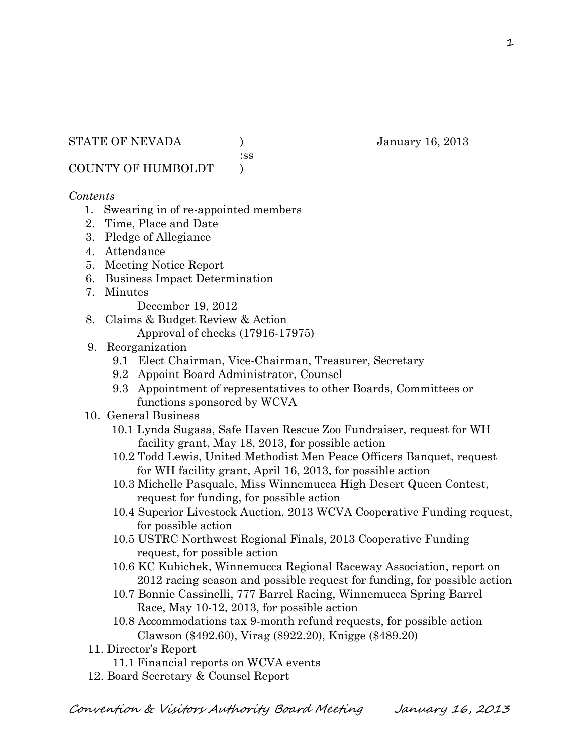STATE OF NEVADA (anuary 16, 2013)

:ss

COUNTY OF HUMBOLDT )

# *Contents*

- 1. Swearing in of re-appointed members
- 2. Time, Place and Date
- 3. Pledge of Allegiance
- 4. Attendance
- 5. Meeting Notice Report
- 6. Business Impact Determination
- 7. Minutes

December 19, 2012

- 8. Claims & Budget Review & Action
	- Approval of checks (17916-17975)
- 9. Reorganization
	- 9.1 Elect Chairman, Vice-Chairman, Treasurer, Secretary
	- 9.2 Appoint Board Administrator, Counsel
	- 9.3 Appointment of representatives to other Boards, Committees or functions sponsored by WCVA
- 10. General Business
	- 10.1 Lynda Sugasa, Safe Haven Rescue Zoo Fundraiser, request for WH facility grant, May 18, 2013, for possible action
	- 10.2 Todd Lewis, United Methodist Men Peace Officers Banquet, request for WH facility grant, April 16, 2013, for possible action
	- 10.3 Michelle Pasquale, Miss Winnemucca High Desert Queen Contest, request for funding, for possible action
	- 10.4 Superior Livestock Auction, 2013 WCVA Cooperative Funding request, for possible action
	- 10.5 USTRC Northwest Regional Finals, 2013 Cooperative Funding request, for possible action
	- 10.6 KC Kubichek, Winnemucca Regional Raceway Association, report on 2012 racing season and possible request for funding, for possible action
	- 10.7 Bonnie Cassinelli, 777 Barrel Racing, Winnemucca Spring Barrel Race, May 10-12, 2013, for possible action
	- 10.8 Accommodations tax 9-month refund requests, for possible action Clawson (\$492.60), Virag (\$922.20), Knigge (\$489.20)
- 11. Director's Report
	- 11.1 Financial reports on WCVA events
- 12. Board Secretary & Counsel Report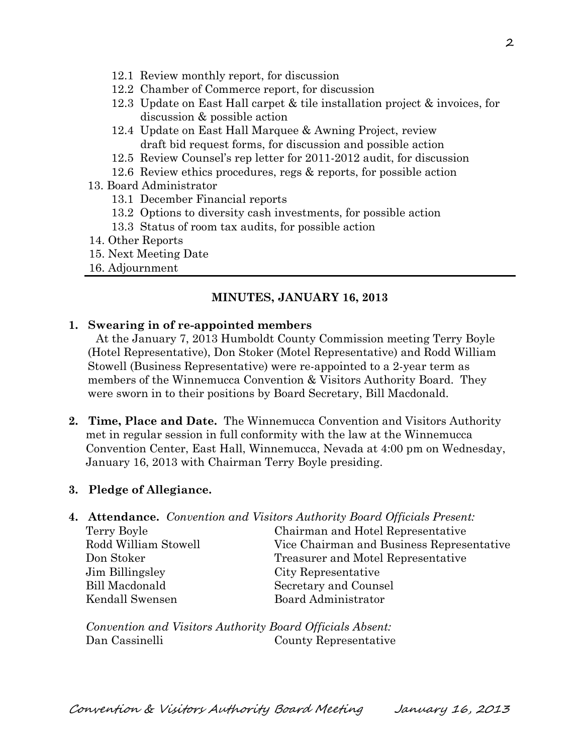- 12.1 Review monthly report, for discussion
- 12.2 Chamber of Commerce report, for discussion
- 12.3 Update on East Hall carpet & tile installation project & invoices, for discussion & possible action
- 12.4 Update on East Hall Marquee & Awning Project, review draft bid request forms, for discussion and possible action
- 12.5 Review Counsel's rep letter for 2011-2012 audit, for discussion
- 12.6 Review ethics procedures, regs & reports, for possible action
- 13. Board Administrator
	- 13.1 December Financial reports
	- 13.2 Options to diversity cash investments, for possible action
	- 13.3 Status of room tax audits, for possible action
- 14. Other Reports
- 15. Next Meeting Date
- 16. Adjournment

#### **MINUTES, JANUARY 16, 2013**

#### **1. Swearing in of re-appointed members**

At the January 7, 2013 Humboldt County Commission meeting Terry Boyle (Hotel Representative), Don Stoker (Motel Representative) and Rodd William Stowell (Business Representative) were re-appointed to a 2-year term as members of the Winnemucca Convention & Visitors Authority Board. They were sworn in to their positions by Board Secretary, Bill Macdonald.

**2. Time, Place and Date.** The Winnemucca Convention and Visitors Authority met in regular session in full conformity with the law at the Winnemucca Convention Center, East Hall, Winnemucca, Nevada at 4:00 pm on Wednesday, January 16, 2013 with Chairman Terry Boyle presiding.

#### **3. Pledge of Allegiance.**

**4. Attendance.** *Convention and Visitors Authority Board Officials Present:*

| Terry Boyle          | Chairman and Hotel Representative         |  |
|----------------------|-------------------------------------------|--|
| Rodd William Stowell | Vice Chairman and Business Representative |  |
| Don Stoker           | Treasurer and Motel Representative        |  |
| Jim Billingsley      | City Representative                       |  |
| Bill Macdonald       | Secretary and Counsel                     |  |
| Kendall Swensen      | Board Administrator                       |  |
|                      |                                           |  |

*Convention and Visitors Authority Board Officials Absent:* Dan Cassinelli County Representative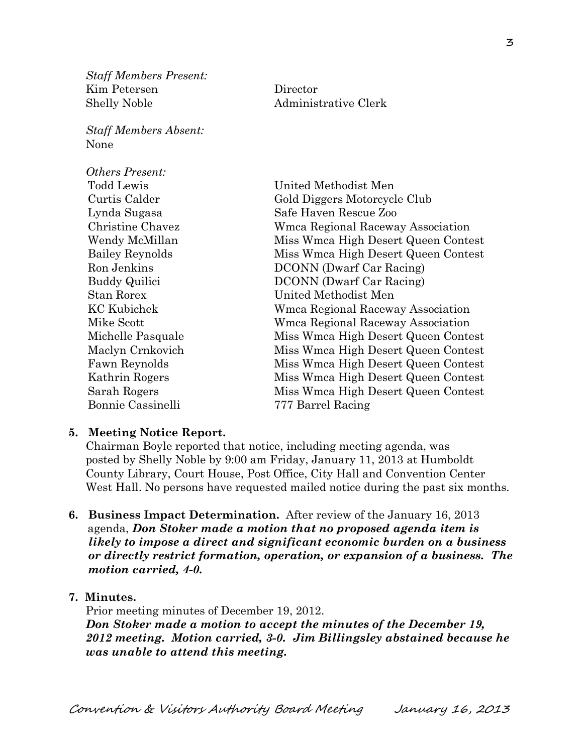*Staff Members Present:* Kim Petersen Director Shelly Noble **Administrative Clerk** 

*Staff Members Absent:* None

*Others Present:* Todd Lewis United Methodist Men Curtis Calder Gold Diggers Motorcycle Club Lynda Sugasa Safe Haven Rescue Zoo Christine Chavez Wmca Regional Raceway Association Wendy McMillan Miss Wmca High Desert Queen Contest Bailey Reynolds Miss Wmca High Desert Queen Contest Ron Jenkins DCONN (Dwarf Car Racing) Buddy Quilici DCONN (Dwarf Car Racing) Stan Rorex United Methodist Men KC Kubichek Wmca Regional Raceway Association Mike Scott Wmca Regional Raceway Association Michelle Pasquale Miss Wmca High Desert Queen Contest Maclyn Crnkovich Miss Wmca High Desert Queen Contest Fawn Reynolds Miss Wmca High Desert Queen Contest Kathrin Rogers Miss Wmca High Desert Queen Contest Sarah Rogers Miss Wmca High Desert Queen Contest Bonnie Cassinelli 777 Barrel Racing

#### **5. Meeting Notice Report.**

Chairman Boyle reported that notice, including meeting agenda, was posted by Shelly Noble by 9:00 am Friday, January 11, 2013 at Humboldt County Library, Court House, Post Office, City Hall and Convention Center West Hall. No persons have requested mailed notice during the past six months.

- **6. Business Impact Determination.** After review of the January 16, 2013 agenda, *Don Stoker made a motion that no proposed agenda item is likely to impose a direct and significant economic burden on a business or directly restrict formation, operation, or expansion of a business. The motion carried, 4-0.*
- **7. Minutes.**

Prior meeting minutes of December 19, 2012. *Don Stoker made a motion to accept the minutes of the December 19, 2012 meeting. Motion carried, 3-0. Jim Billingsley abstained because he was unable to attend this meeting.*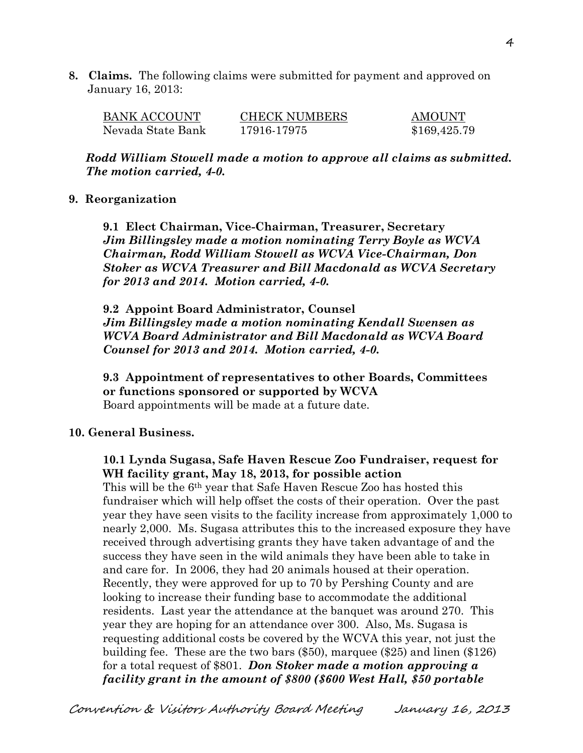**8. Claims.** The following claims were submitted for payment and approved on January 16, 2013:

| <b>BANK ACCOUNT</b> | <b>CHECK NUMBERS</b> | AMOUNT       |
|---------------------|----------------------|--------------|
| Nevada State Bank   | 17916-17975          | \$169,425.79 |

*Rodd William Stowell made a motion to approve all claims as submitted. The motion carried, 4-0.* 

#### **9. Reorganization**

**9.1 Elect Chairman, Vice-Chairman, Treasurer, Secretary** *Jim Billingsley made a motion nominating Terry Boyle as WCVA Chairman, Rodd William Stowell as WCVA Vice-Chairman, Don Stoker as WCVA Treasurer and Bill Macdonald as WCVA Secretary for 2013 and 2014. Motion carried, 4-0.* 

**9.2 Appoint Board Administrator, Counsel** *Jim Billingsley made a motion nominating Kendall Swensen as WCVA Board Administrator and Bill Macdonald as WCVA Board Counsel for 2013 and 2014. Motion carried, 4-0.*

**9.3 Appointment of representatives to other Boards, Committees or functions sponsored or supported by WCVA** Board appointments will be made at a future date.

#### **10. General Business.**

**10.1 Lynda Sugasa, Safe Haven Rescue Zoo Fundraiser, request for WH facility grant, May 18, 2013, for possible action**

This will be the 6th year that Safe Haven Rescue Zoo has hosted this fundraiser which will help offset the costs of their operation. Over the past year they have seen visits to the facility increase from approximately 1,000 to nearly 2,000. Ms. Sugasa attributes this to the increased exposure they have received through advertising grants they have taken advantage of and the success they have seen in the wild animals they have been able to take in and care for. In 2006, they had 20 animals housed at their operation. Recently, they were approved for up to 70 by Pershing County and are looking to increase their funding base to accommodate the additional residents. Last year the attendance at the banquet was around 270. This year they are hoping for an attendance over 300. Also, Ms. Sugasa is requesting additional costs be covered by the WCVA this year, not just the building fee. These are the two bars (\$50), marquee (\$25) and linen (\$126) for a total request of \$801. *Don Stoker made a motion approving a facility grant in the amount of \$800 (\$600 West Hall, \$50 portable*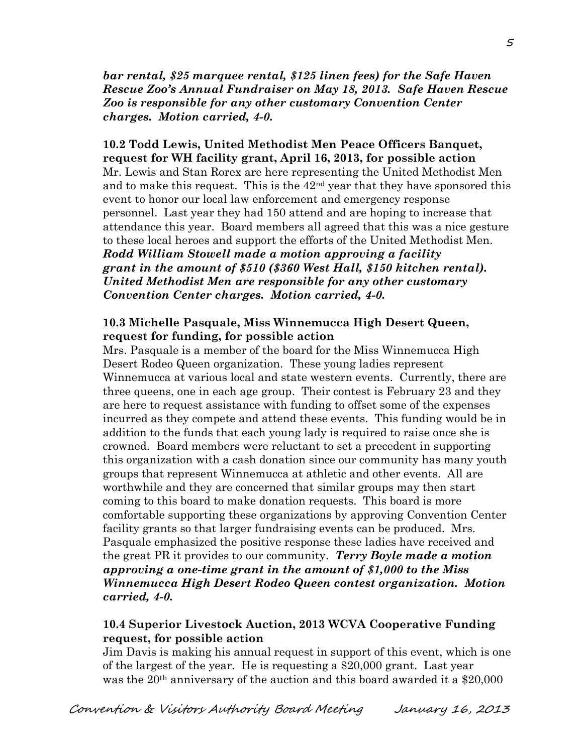*bar rental, \$25 marquee rental, \$125 linen fees) for the Safe Haven Rescue Zoo's Annual Fundraiser on May 18, 2013. Safe Haven Rescue Zoo is responsible for any other customary Convention Center charges. Motion carried, 4-0.*

**10.2 Todd Lewis, United Methodist Men Peace Officers Banquet, request for WH facility grant, April 16, 2013, for possible action** Mr. Lewis and Stan Rorex are here representing the United Methodist Men and to make this request. This is the  $42<sup>nd</sup>$  year that they have sponsored this event to honor our local law enforcement and emergency response personnel. Last year they had 150 attend and are hoping to increase that attendance this year. Board members all agreed that this was a nice gesture to these local heroes and support the efforts of the United Methodist Men. *Rodd William Stowell made a motion approving a facility grant in the amount of \$510 (\$360 West Hall, \$150 kitchen rental). United Methodist Men are responsible for any other customary Convention Center charges. Motion carried, 4-0.*

#### **10.3 Michelle Pasquale, Miss Winnemucca High Desert Queen, request for funding, for possible action**

Mrs. Pasquale is a member of the board for the Miss Winnemucca High Desert Rodeo Queen organization. These young ladies represent Winnemucca at various local and state western events. Currently, there are three queens, one in each age group. Their contest is February 23 and they are here to request assistance with funding to offset some of the expenses incurred as they compete and attend these events. This funding would be in addition to the funds that each young lady is required to raise once she is crowned. Board members were reluctant to set a precedent in supporting this organization with a cash donation since our community has many youth groups that represent Winnemucca at athletic and other events. All are worthwhile and they are concerned that similar groups may then start coming to this board to make donation requests. This board is more comfortable supporting these organizations by approving Convention Center facility grants so that larger fundraising events can be produced. Mrs. Pasquale emphasized the positive response these ladies have received and the great PR it provides to our community. *Terry Boyle made a motion approving a one-time grant in the amount of \$1,000 to the Miss Winnemucca High Desert Rodeo Queen contest organization. Motion carried, 4-0.* 

#### **10.4 Superior Livestock Auction, 2013 WCVA Cooperative Funding request, for possible action**

Jim Davis is making his annual request in support of this event, which is one of the largest of the year. He is requesting a \$20,000 grant. Last year was the 20<sup>th</sup> anniversary of the auction and this board awarded it a \$20,000

5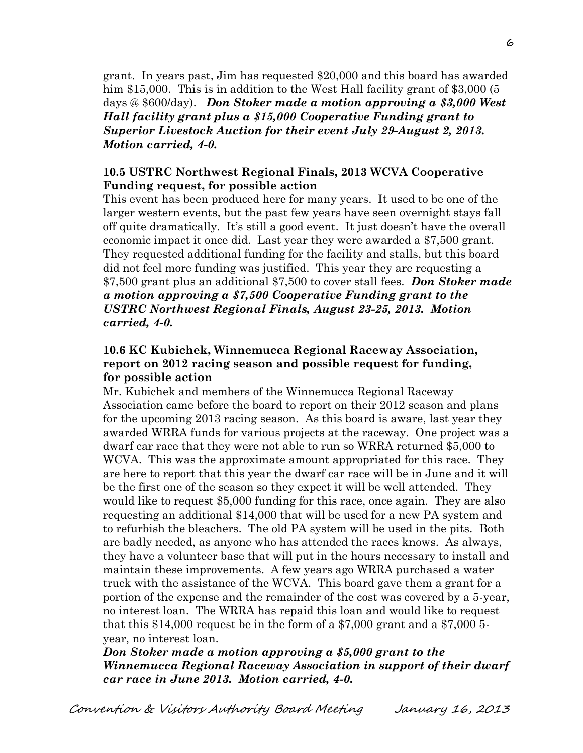grant. In years past, Jim has requested \$20,000 and this board has awarded him \$15,000. This is in addition to the West Hall facility grant of \$3,000 (5 days @ \$600/day). *Don Stoker made a motion approving a \$3,000 West Hall facility grant plus a \$15,000 Cooperative Funding grant to Superior Livestock Auction for their event July 29-August 2, 2013. Motion carried, 4-0.* 

## **10.5 USTRC Northwest Regional Finals, 2013 WCVA Cooperative Funding request, for possible action**

This event has been produced here for many years. It used to be one of the larger western events, but the past few years have seen overnight stays fall off quite dramatically. It's still a good event. It just doesn't have the overall economic impact it once did. Last year they were awarded a \$7,500 grant. They requested additional funding for the facility and stalls, but this board did not feel more funding was justified. This year they are requesting a \$7,500 grant plus an additional \$7,500 to cover stall fees. *Don Stoker made a motion approving a \$7,500 Cooperative Funding grant to the USTRC Northwest Regional Finals, August 23-25, 2013. Motion carried, 4-0.* 

## **10.6 KC Kubichek, Winnemucca Regional Raceway Association, report on 2012 racing season and possible request for funding, for possible action**

Mr. Kubichek and members of the Winnemucca Regional Raceway Association came before the board to report on their 2012 season and plans for the upcoming 2013 racing season. As this board is aware, last year they awarded WRRA funds for various projects at the raceway. One project was a dwarf car race that they were not able to run so WRRA returned \$5,000 to WCVA. This was the approximate amount appropriated for this race. They are here to report that this year the dwarf car race will be in June and it will be the first one of the season so they expect it will be well attended. They would like to request \$5,000 funding for this race, once again. They are also requesting an additional \$14,000 that will be used for a new PA system and to refurbish the bleachers. The old PA system will be used in the pits. Both are badly needed, as anyone who has attended the races knows. As always, they have a volunteer base that will put in the hours necessary to install and maintain these improvements. A few years ago WRRA purchased a water truck with the assistance of the WCVA. This board gave them a grant for a portion of the expense and the remainder of the cost was covered by a 5-year, no interest loan. The WRRA has repaid this loan and would like to request that this \$14,000 request be in the form of a \$7,000 grant and a \$7,000 5 year, no interest loan.

*Don Stoker made a motion approving a \$5,000 grant to the Winnemucca Regional Raceway Association in support of their dwarf car race in June 2013. Motion carried, 4-0.*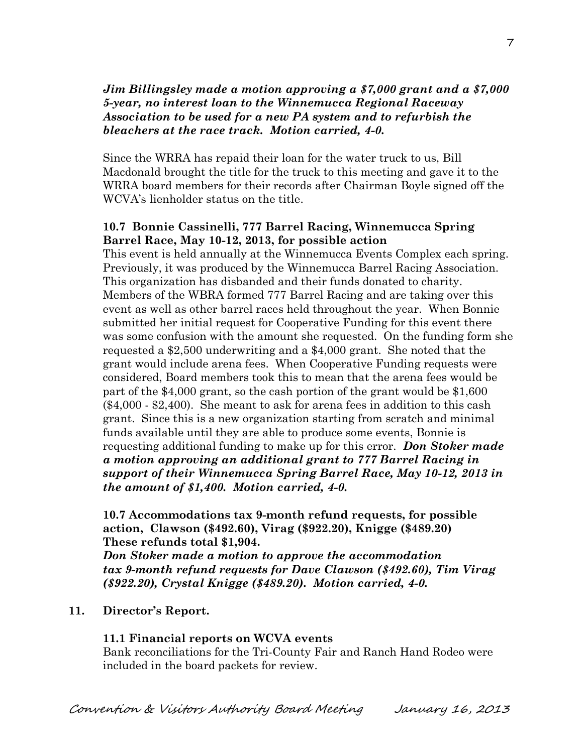# *Jim Billingsley made a motion approving a \$7,000 grant and a \$7,000 5-year, no interest loan to the Winnemucca Regional Raceway Association to be used for a new PA system and to refurbish the bleachers at the race track. Motion carried, 4-0.*

Since the WRRA has repaid their loan for the water truck to us, Bill Macdonald brought the title for the truck to this meeting and gave it to the WRRA board members for their records after Chairman Boyle signed off the WCVA's lienholder status on the title.

# **10.7 Bonnie Cassinelli, 777 Barrel Racing, Winnemucca Spring Barrel Race, May 10-12, 2013, for possible action**

This event is held annually at the Winnemucca Events Complex each spring. Previously, it was produced by the Winnemucca Barrel Racing Association. This organization has disbanded and their funds donated to charity. Members of the WBRA formed 777 Barrel Racing and are taking over this event as well as other barrel races held throughout the year. When Bonnie submitted her initial request for Cooperative Funding for this event there was some confusion with the amount she requested. On the funding form she requested a \$2,500 underwriting and a \$4,000 grant. She noted that the grant would include arena fees. When Cooperative Funding requests were considered, Board members took this to mean that the arena fees would be part of the \$4,000 grant, so the cash portion of the grant would be \$1,600 (\$4,000 - \$2,400). She meant to ask for arena fees in addition to this cash grant. Since this is a new organization starting from scratch and minimal funds available until they are able to produce some events, Bonnie is requesting additional funding to make up for this error. *Don Stoker made a motion approving an additional grant to 777 Barrel Racing in support of their Winnemucca Spring Barrel Race, May 10-12, 2013 in the amount of \$1,400. Motion carried, 4-0.* 

**10.7 Accommodations tax 9-month refund requests, for possible action, Clawson (\$492.60), Virag (\$922.20), Knigge (\$489.20) These refunds total \$1,904.**

*Don Stoker made a motion to approve the accommodation tax 9-month refund requests for Dave Clawson (\$492.60), Tim Virag (\$922.20), Crystal Knigge (\$489.20). Motion carried, 4-0.* 

## **11. Director's Report.**

## **11.1 Financial reports on WCVA events**

Bank reconciliations for the Tri-County Fair and Ranch Hand Rodeo were included in the board packets for review.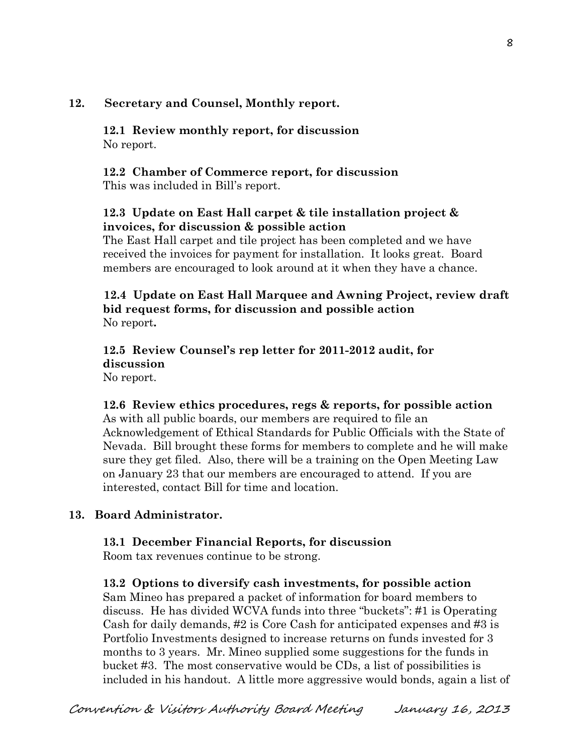# **12. Secretary and Counsel, Monthly report.**

**12.1 Review monthly report, for discussion** No report.

# **12.2 Chamber of Commerce report, for discussion**

This was included in Bill's report.

# **12.3 Update on East Hall carpet & tile installation project & invoices, for discussion & possible action**

The East Hall carpet and tile project has been completed and we have received the invoices for payment for installation. It looks great. Board members are encouraged to look around at it when they have a chance.

## **12.4 Update on East Hall Marquee and Awning Project, review draft bid request forms, for discussion and possible action** No report**.**

### **12.5 Review Counsel's rep letter for 2011-2012 audit, for discussion**  No report.

**12.6 Review ethics procedures, regs & reports, for possible action** As with all public boards, our members are required to file an Acknowledgement of Ethical Standards for Public Officials with the State of Nevada. Bill brought these forms for members to complete and he will make sure they get filed. Also, there will be a training on the Open Meeting Law on January 23 that our members are encouraged to attend. If you are interested, contact Bill for time and location.

# **13. Board Administrator.**

## **13.1 December Financial Reports, for discussion**

Room tax revenues continue to be strong.

# **13.2 Options to diversify cash investments, for possible action**

Sam Mineo has prepared a packet of information for board members to discuss. He has divided WCVA funds into three "buckets": #1 is Operating Cash for daily demands, #2 is Core Cash for anticipated expenses and #3 is Portfolio Investments designed to increase returns on funds invested for 3 months to 3 years. Mr. Mineo supplied some suggestions for the funds in bucket #3. The most conservative would be CDs, a list of possibilities is included in his handout. A little more aggressive would bonds, again a list of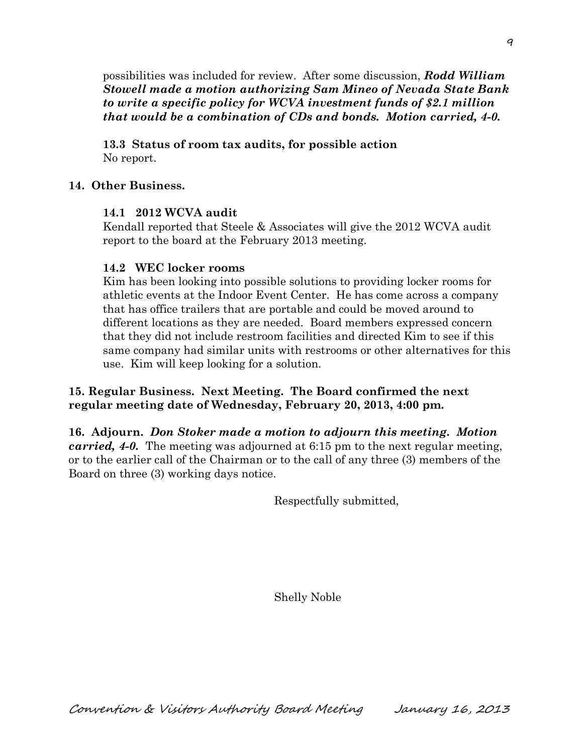possibilities was included for review. After some discussion, *Rodd William Stowell made a motion authorizing Sam Mineo of Nevada State Bank to write a specific policy for WCVA investment funds of \$2.1 million that would be a combination of CDs and bonds. Motion carried, 4-0.* 

**13.3 Status of room tax audits, for possible action** No report.

## **14. Other Business.**

## **14.1 2012 WCVA audit**

Kendall reported that Steele & Associates will give the 2012 WCVA audit report to the board at the February 2013 meeting.

## **14.2 WEC locker rooms**

Kim has been looking into possible solutions to providing locker rooms for athletic events at the Indoor Event Center. He has come across a company that has office trailers that are portable and could be moved around to different locations as they are needed. Board members expressed concern that they did not include restroom facilities and directed Kim to see if this same company had similar units with restrooms or other alternatives for this use. Kim will keep looking for a solution.

# **15. Regular Business. Next Meeting. The Board confirmed the next regular meeting date of Wednesday, February 20, 2013, 4:00 pm.**

**16. Adjourn.** *Don Stoker made a motion to adjourn this meeting. Motion carried, 4-0.* The meeting was adjourned at 6:15 pm to the next regular meeting, or to the earlier call of the Chairman or to the call of any three (3) members of the Board on three (3) working days notice.

Respectfully submitted,

Shelly Noble